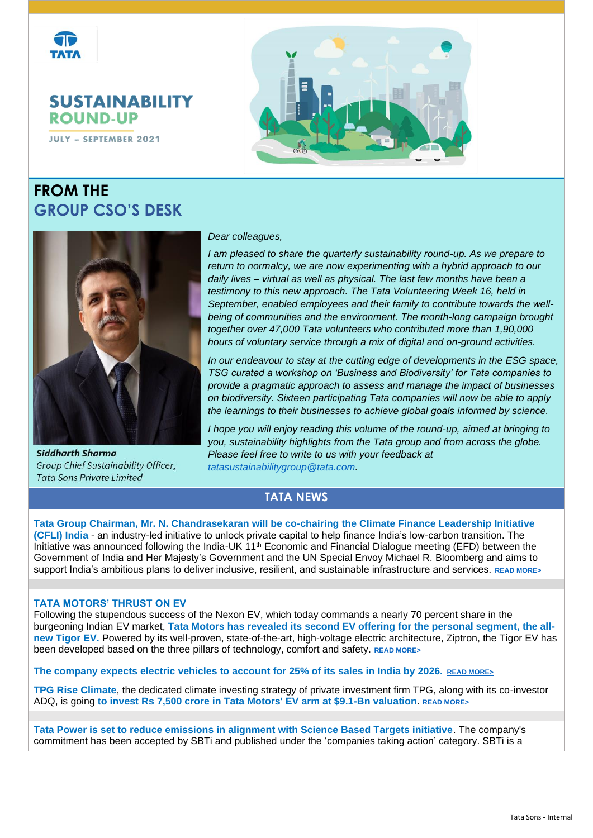

**SUSTAINABILITY ROUND-UP** 

**JULY - SEPTEMBER 2021** 

# **FROM THE GROUP CSO'S DESK**





**Siddharth Sharma** Group Chief Sustainability Officer, **Tata Sons Private Limited** 

#### *Dear colleagues,*

*I* am pleased to share the quarterly sustainability round-up. As we prepare to *return to normalcy, we are now experimenting with a hybrid approach to our daily lives – virtual as well as physical. The last few months have been a testimony to this new approach. The Tata Volunteering Week 16, held in September, enabled employees and their family to contribute towards the wellbeing of communities and the environment. The month-long campaign brought together over 47,000 Tata volunteers who contributed more than 1,90,000 hours of voluntary service through a mix of digital and on-ground activities.* 

*In our endeavour to stay at the cutting edge of developments in the ESG space, TSG curated a workshop on 'Business and Biodiversity' for Tata companies to provide a pragmatic approach to assess and manage the impact of businesses on biodiversity. Sixteen participating Tata companies will now be able to apply the learnings to their businesses to achieve global goals informed by science.*

*I hope you will enjoy reading this volume of the round-up, aimed at bringing to you, sustainability highlights from the Tata group and from across the globe. Please feel free to write to us with your feedback at [tatasustainabilitygroup@tata.com.](mailto:tatasustainabilitygroup@tata.com)*

### **TATA NEWS**

**Tata Group Chairman, Mr. N. Chandrasekaran will be co-chairing the Climate Finance Leadership Initiative (CFLI) India** - an industry-led initiative to unlock private capital to help finance India's low-carbon transition. The Initiative was announced following the India-UK 11<sup>th</sup> Economic and Financial Dialogue meeting (EFD) between the Government of India and Her Majesty's Government and the UN Special Envoy Michael R. Bloomberg and aims to support India's ambitious plans to deliver inclusive, resilient, and sustainable infrastructure and services. **[READ MORE>](https://www.bloomberg.com/company/press/governments-of-india-and-the-united-kingdom-join-forces-with-un-special-envoy-on-climate-ambition-and-solutions-michael-bloomberg-to-mobilize-private-capital-in-support-of-indias-low-carbon-t/)**

#### **TATA MOTORS' THRUST ON EV**

Following the stupendous success of the Nexon EV, which today commands a nearly 70 percent share in the burgeoning Indian EV market, **Tata Motors has revealed its second EV offering for the personal segment, the allnew Tigor EV.** Powered by its well-proven, state-of-the-art, high-voltage electric architecture, Ziptron, the Tigor EV has been developed based on the three pillars of technology, comfort and safety. **[READ MORE>](https://www.tataworld.com/news/openinside/tata-motors-unveils-its-second-ev-for-personal-segment)**

**The company expects electric vehicles to account for 25% of its sales in India by 2026. [READ MORE>](https://www.carscoops.com/2021/09/tata-motors-expects-electric-vehicles-to-account-for-25-of-its-sales-in-india-by-2026/)**

**TPG Rise Climate**, the dedicated climate investing strategy of private investment firm TPG, along with its co-investor ADQ, is going **to invest Rs 7,500 crore in Tata Motors' EV arm at \$9.1-Bn valuation**. **[READ MORE>](https://www.business-standard.com/article/companies/tata-motors-to-raise-1-bn-for-ev-business-from-tpg-rise-climate-121101201065_1.html)**

**Tata Power is set to reduce emissions in alignment with Science Based Targets initiative**. The company's commitment has been accepted by SBTi and published under the ['companies taking action'](https://sciencebasedtargets.org/companies-taking-action?status=Committed&country=India#table) category. SBTi is a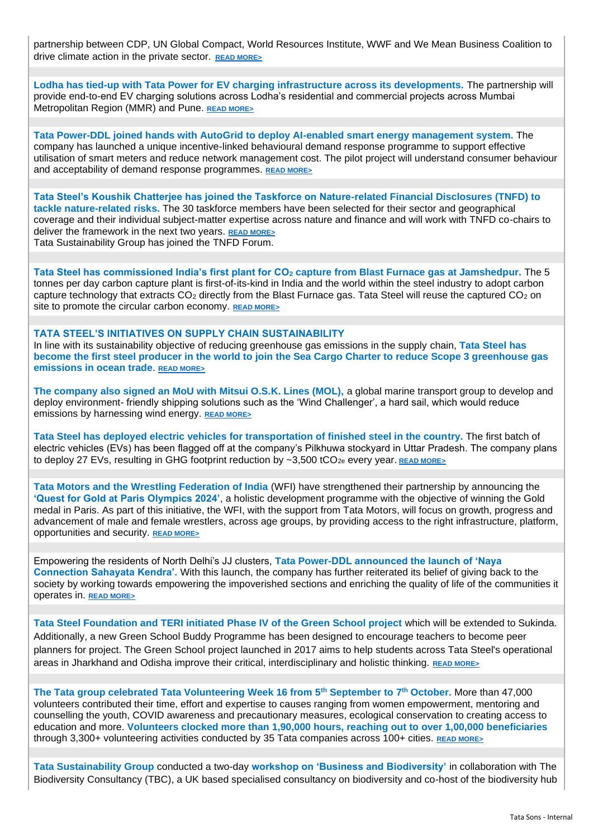partnership between CDP, UN Global Compact, World Resources Institute, WWF and We Mean Business Coalition to drive climate action in the private sector. **[READ MORE>](https://www.tataworld.com/news/openinside/tata-power-set-to-reduce-emissions-in-alignment-with-science-based-targets-initiative)**

**Lodha has tied-up with Tata Power for EV charging infrastructure across its developments.** The partnership will provide end-to-end EV charging solutions across Lodha's residential and commercial projects across Mumbai Metropolitan Region (MMR) and Pune. **[READ MORE>](https://www.tataworld.com/news/openinside/Lodha-ties-up-with-Tata-Power-for-EV-charging-infrastructure)**

**Tata Power-DDL joined hands with AutoGrid to deploy AI-enabled smart energy management system.** The company has launched a unique incentive-linked behavioural demand response programme to support effective utilisation of smart meters and reduce network management cost. The pilot project will understand consumer behaviour and acceptability of demand response programmes. **[READ MORE>](https://www.tataworld.com/news/openinside/tata-power-ddl-joins-hands-with-autogrid-to-deploy-ai-enabled-smart-energy-management-system)**

**Tata Steel's Koushik Chatterjee has joined the Taskforce on Nature-related Financial Disclosures (TNFD) to tackle nature-related risks.** The 30 taskforce members have been selected for their sector and geographical coverage and their individual subject-matter expertise across nature and finance and will work with TNFD co-chairs to deliver the framework in the next two years. **[READ MORE>](https://www.tataworld.com/news/openinside/Tata-Steels-Koushik-Chatterjee-joins-the-Taskforce-on-Nature-related-Financial-Disclosures)** Tata Sustainability Group has joined the TNFD Forum.

**Tata Steel has commissioned India's first plant for CO<sup>2</sup> capture from Blast Furnace gas at Jamshedpur.** The 5 tonnes per day carbon capture plant is first-of-its-kind in India and the world within the steel industry to adopt carbon capture technology that extracts  $CO<sub>2</sub>$  directly from the Blast Furnace gas. Tata Steel will reuse the captured  $CO<sub>2</sub>$  on site to promote the circular carbon economy. **[READ MORE>](https://www.tatasteel.com/media/newsroom/press-releases/india/2021/tata-steel-commissions-india-s-first-plant-for-co2-capture-from-blast-furnace-gas-at-jamshedpur/)**

#### **TATA STEEL'S INITIATIVES ON SUPPLY CHAIN SUSTAINABILITY**

In line with its sustainability objective of reducing greenhouse gas emissions in the supply chain, **Tata Steel has become the first steel producer in the world to join the Sea Cargo Charter to reduce Scope 3 greenhouse gas emissions in ocean trade**. **[READ MORE>](https://www.tataworld.com/news/openinside/Tata-Steel-becomes-the-first-steel-producer-in-the-world-to-join)**

**The company also signed an MoU with Mitsui O.S.K. Lines (MOL),** a global marine transport group to develop and deploy environment- friendly shipping solutions such as the 'Wind Challenger', a hard sail, which would reduce emissions by harnessing wind energy. **[READ MORE>](https://www.tataworld.com/news/openinside/tata-steel-signs-mou-with-mol-for-responsible-supply-chain)**

**Tata Steel has deployed electric vehicles for transportation of finished steel in the country.** The first batch of electric vehicles (EVs) has been flagged off at the company's Pilkhuwa stockyard in Uttar Pradesh. The company plans to deploy 27 EVs, resulting in GHG footprint reduction by ~3,500 tCO<sub>2e</sub> every year. **[READ MORE>](https://www.tataworld.com/news/openinside/tata-steel-pioneers-the-deployment-of-electric-vehicles)** 

**Tata Motors and the Wrestling Federation of India** (WFI) have strengthened their partnership by announcing the **'Quest for Gold at Paris Olympics 2024'**, a holistic development programme with the objective of winning the Gold medal in Paris. As part of this initiative, the WFI, with the support from Tata Motors, will focus on growth, progress and advancement of male and female wrestlers, across age groups, by providing access to the right infrastructure, platform, opportunities and security. **[READ MORE>](https://www.financialexpress.com/auto/industry/quest-for-gold-supporting-the-wrestling-community/2319705/)**

Empowering the residents of North Delhi's JJ clusters, **Tata Power-DDL announced the launch of 'Naya Connection Sahayata Kendra'.** With this launch, the company has further reiterated its belief of giving back to the society by working towards empowering the impoverished sections and enriching the quality of life of the communities it operates in. **[READ MORE>](https://www.tataworld.com/news/openinside/tata-power-ddl-empowers-the-residents-of-north-delhis-jj-clusters)**

**Tata Steel Foundation and TERI initiated Phase IV of the Green School project** which will be extended to Sukinda. Additionally, a new Green School Buddy Programme has been designed to encourage teachers to become peer planners for project. The Green School project launched in 2017 aims to help students across Tata Steel's operational areas in Jharkhand and Odisha improve their critical, interdisciplinary and holistic thinking. **[READ MORE>](https://www.tataworld.com/news/openinside/tata-steel-foundation-and-teri-initiate-phase-iv-of-the-green-school-project)**

**The Tata group celebrated Tata Volunteering Week 16 from 5th September to 7th October.** More than 47,000 volunteers contributed their time, effort and expertise to causes ranging from women empowerment, mentoring and counselling the youth, COVID awareness and precautionary measures, ecological conservation to creating access to education and more. **Volunteers clocked more than 1,90,000 hours, reaching out to over 1,00,000 beneficiaries**  through 3,300+ volunteering activities conducted by 35 Tata companies across 100+ cities. **[READ MORE>](https://www.tataworld.com/news/openinside/Tata-Volunteering-Week-16-concludes-successfully)**

**Tata Sustainability Group** conducted a two-day **workshop on 'Business and Biodiversity'** in collaboration with The Biodiversity Consultancy (TBC), a UK based specialised consultancy on biodiversity and co-host of the biodiversity hub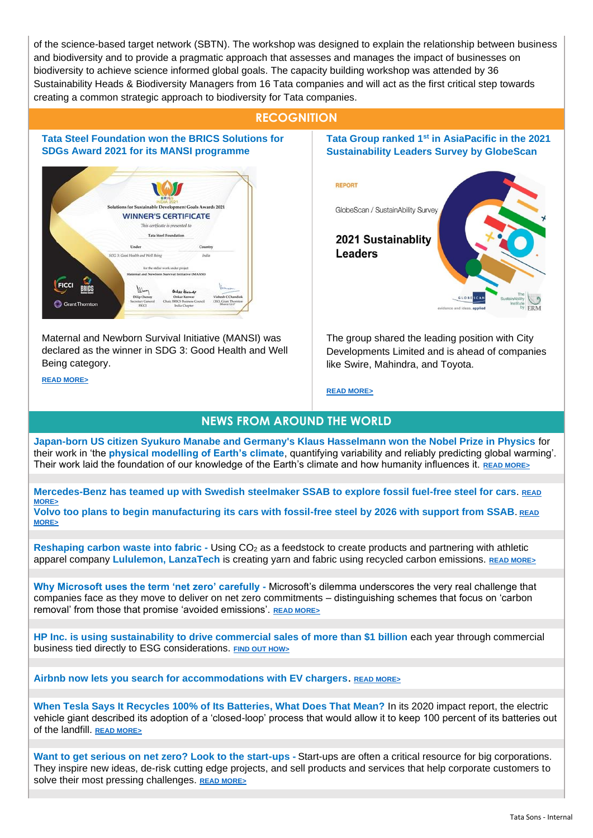of the science-based target network (SBTN). The workshop was designed to explain the relationship between business and biodiversity and to provide a pragmatic approach that assesses and manages the impact of businesses on biodiversity to achieve science informed global goals. The capacity building workshop was attended by 36 Sustainability Heads & Biodiversity Managers from 16 Tata companies and will act as the first critical step towards creating a common strategic approach to biodiversity for Tata companies.

## **RECOGNITION**

**Tata Steel Foundation won the BRICS Solutions for SDGs Award 2021 for its MANSI programme** 



Maternal and Newborn Survival Initiative (MANSI) was declared as the winner in SDG 3: Good Health and Well Being category.

**[READ MORE>](https://www.tataworld.com/news/openinside/tata-steel-foundation-bags-brics-solutions-for-sdgs-award-2021)**

#### **Tata Group ranked 1st in AsiaPacific in the 2021 Sustainability Leaders Survey by GlobeScan**

**REPORT** 

**Leaders** 

GlobeScan / SustainAbility Survey



The group shared the leading position with City Developments Limited and is ahead of companies like Swire, Mahindra, and Toyota.

**[READ MORE>](https://www.sustainability.com/globalassets/sustainability.com/thinking/pdfs/2021/ermsi-globescan-leaders-2021.pdf)**

# **NEWS FROM AROUND THE WORLD**

**Japan-born US citizen Syukuro Manabe and Germany's Klaus Hasselmann won the Nobel Prize in Physics** for their work in 'the **physical modelling of Earth's climate**, quantifying variability and reliably predicting global warming'. Their work laid the foundation of our knowledge of the Earth's climate and how humanity influences it. **[READ MORE>](https://www.france24.com/en/live-news/20211005-syukuro-manabe-klaus-hasselmann-giorgio-parisi-win-nobel-prize-in-physics)**

**Mercedes-Benz has teamed up with Swedish steelmaker SSAB to explore fossil fuel-free steel for cars**. **[READ](https://www.reuters.com/business/autos-transportation/mercedes-benz-teams-up-with-ssab-explore-fossil-fuel-free-steel-cars-2021-09-01/)  [MORE>](https://www.reuters.com/business/autos-transportation/mercedes-benz-teams-up-with-ssab-explore-fossil-fuel-free-steel-cars-2021-09-01/) Volvo too plans to begin manufacturing its cars with fossil-free steel by 2026 with support from SSAB**. **[READ](https://www.greenbiz.com/article/volvos-plan-drive-green-steel-market?utm_source=newsletter&utm_medium=email&utm_campaign=greenbuzz&utm_content=2021-07-26&mkt_tok=MjExLU5KWS0xNjUAAAF-geGngVaQIM7pRV7PwV4Fw_33BR_IAKYuppQam7jOm5-N3jI9wK_PAuWRZuZOZ0KgDIQPReRZ-cDvWbWOutCPusyqvCyi2KRTAQl85dHBOjyHhcs)  [MORE>](https://www.greenbiz.com/article/volvos-plan-drive-green-steel-market?utm_source=newsletter&utm_medium=email&utm_campaign=greenbuzz&utm_content=2021-07-26&mkt_tok=MjExLU5KWS0xNjUAAAF-geGngVaQIM7pRV7PwV4Fw_33BR_IAKYuppQam7jOm5-N3jI9wK_PAuWRZuZOZ0KgDIQPReRZ-cDvWbWOutCPusyqvCyi2KRTAQl85dHBOjyHhcs)**

**Reshaping carbon waste into fabric -** Using CO<sup>2</sup> as a feedstock to create products and partnering with athletic apparel company **Lululemon, LanzaTech** is creating yarn and fabric using recycled carbon emissions. **[READ MORE>](https://www.greenbiz.com/article/lululemon-lanzatech-are-reshaping-carbon-waste-fabric?utm_source=newsletter&utm_medium=email&utm_campaign=greenbuzz&utm_content=2021-07-26&mkt_tok=MjExLU5KWS0xNjUAAAF-geGngSXnwyenu1iOpEbB_iKcFNqWWrXqg4VHTZJELqmdggeZ1unPFOTe7M-1tFrePBB81T0KyESi3UchaGz9yZbrCmT9JSgDJZUzW1HJw5P5vpE)**

**Why Microsoft uses the term 'net zero' carefully -** Microsoft's dilemma underscores the very real challenge that companies face as they move to deliver on net zero commitments – distinguishing schemes that focus on 'carbon removal' from those that promise 'avoided emissions'. **[READ MORE>](https://www.greenbiz.com/article/why-microsoft-uses-term-net-zero-carefully)**

**HP Inc. is using sustainability to drive commercial sales of more than \$1 billion** each year through commercial business tied directly to ESG considerations. **[FIND OUT HOW>](https://www.greenbiz.com/article/how-hp-inc-uses-sustainability-drive-commercial-sales)**

**Airbnb now lets you search for accommodations with EV chargers**. **[READ MORE>](https://electrek.co/2021/08/06/airbnb-now-lets-you-search-for-accommodations-with-ev-chargers/)**

**When Tesla Says It Recycles 100% of Its Batteries, What Does That Mean?** In its [2020 impact report,](https://www.tesla.com/ns_videos/2020-tesla-impact-report.pdf) the electric vehicle giant described its adoption of a 'closed-loop' process that would allow it to keep 100 percent of its batteries out of the landfill. **[READ MORE>](https://www.vice.com/en/article/xgxke4/when-tesla-says-it-recycles-100-of-its-batteries-what-does-that-mean)**

**Want to get serious on net zero? Look to the start-ups -** Start-ups are often [a critical resource](https://www.greenbiz.com/article/how-david-and-goliath-can-team-climate-innovation) for big corporations. They inspire new ideas, de-risk cutting edge projects, and sell products and services that help corporate customers to solve their most pressing challenges. **[READ MORE>](https://www.greenbiz.com/article/want-get-serious-net-zero-look-startups)**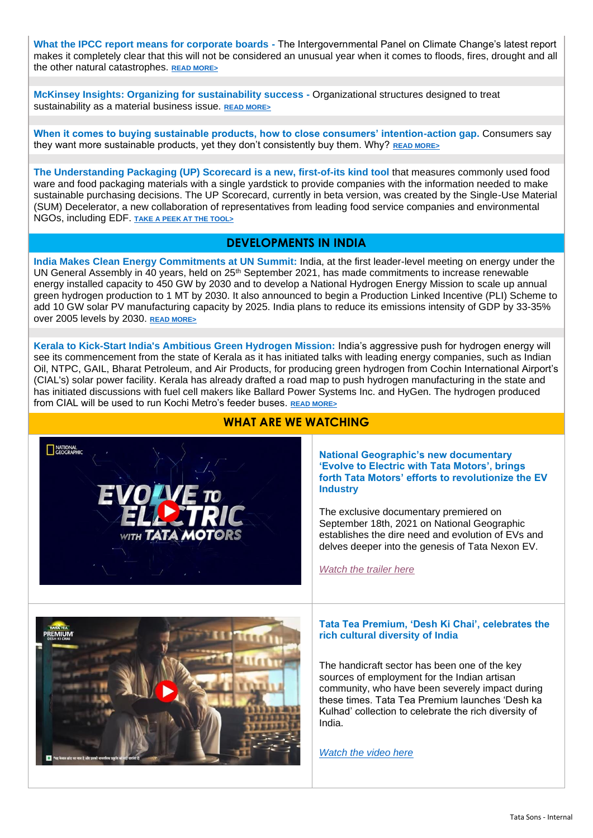**What the IPCC report means for corporate boards -** The Intergovernmental Panel on Climate Change's latest report makes it completely clear that this will not be considered an unusual year when it comes to floods, fires, drought and all the other natural catastrophes. **[READ MORE>](https://www.greenbiz.com/article/what-ipcc-report-means-corporate-boards)**

**McKinsey Insights: Organizing for sustainability success -** Organizational structures designed to treat sustainability as a material business issue. **[READ MORE>](https://www.mckinsey.com/business-functions/sustainability/our-insights/organizing-for-sustainability-success-where-and-how-leaders-can-start)**

**When it comes to buying sustainable products, how to close consumers' intention-action gap.** Consumers say they want more sustainable products, yet they don't consistently buy them. Why? **[READ MORE>](https://www.greenbiz.com/article/how-close-consumers-intention-action-gap)**

**The [Understanding Packaging \(UP\) Scorecard](https://upscorecard.org/) is a new, first-of-its kind tool** that measures commonly used food ware and food packaging materials with a single yardstick to provide companies with the information needed to make sustainable purchasing decisions. The UP Scorecard, currently in beta version, was created by the Single-Use Material (SUM) Decelerator, a new collaboration of representatives from leading food service companies and environmental NGOs, including EDF. **[TAKE A PEEK AT THE TOOL>](https://www.greenbiz.com/article/world-has-packaging-problem-new-tool-gives-companies-ability-fix-it)**

### **DEVELOPMENTS IN INDIA**

**India Makes Clean Energy Commitments at UN Summit:** India, at the first leader-level meeting on energy under the UN General Assembly in 40 years, held on 25<sup>th</sup> September 2021, has made commitments to increase renewable energy installed capacity to 450 GW by 2030 and to develop a National Hydrogen Energy Mission to scale up annual green hydrogen production to 1 MT by 2030. It also announced to begin a Production Linked Incentive (PLI) Scheme to add 10 GW solar PV manufacturing capacity by 2025. India plans to reduce its emissions intensity of GDP by 33-35% over 2005 levels by 2030. **[READ MORE>](https://www.business-standard.com/article/current-affairs/india-makes-clean-energy-commitments-at-un-summit-121092500192_1.html#:~:text=India%20at%20the%20first%20leader,to%201%20MT%20by%202030.)**

**Kerala to Kick-Start India's Ambitious Green Hydrogen Mission:** India's aggressive push for hydrogen energy will see its commencement from the state of Kerala as it has initiated talks with leading energy companies, such as Indian Oil, NTPC, GAIL, Bharat Petroleum, and Air Products, for producing green hydrogen from Cochin International Airport's (CIAL's) solar power facility. Kerala has already drafted a road map to push hydrogen manufacturing in the state and has initiated discussions with fuel cell makers like Ballard Power Systems Inc. and HyGen. The hydrogen produced from CIAL will be used to run Kochi Metro's feeder buses. **[READ MORE>](https://www.business-standard.com/article/economy-policy/kerala-to-kick-start-india-s-green-hydrogen-mission-121090901320_1.html)**